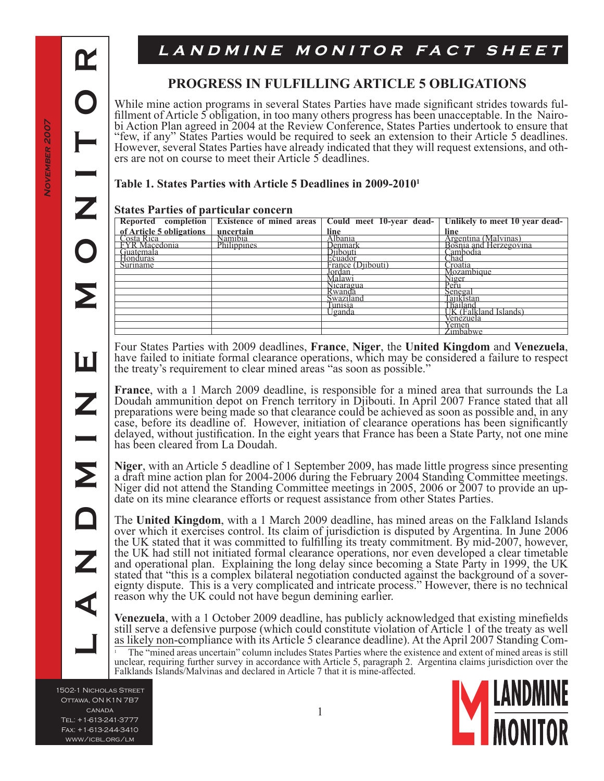$\mathbf \alpha$ 

**L A N D M I N E M O N I T O R**

Ш

# LANDMINE MONITOR FACT SHEET

### **Progress in Fulfilling Article 5 Obligations**

While mine action programs in several States Parties have made significant strides towards ful-<br>fillment of Article 5 obligation, in too many others progress has been unacceptable. In the Nairo-<br>bi Action Plan agreed in 20 "few, if any" States Parties would be required to seek an extension to their Article 5 deadlines. However, several States Parties have already indicated that they will request extensions, and oth- ers are not on course to meet their Article 5 deadlines.

#### **Table 1. States Parties with Article 5 Deadlines in 2009-20101**

#### **States Parties of particular concern**

|                                                                               |             |                   | Reported completion   Existence of mined areas   Could meet 10-year dead-   Unlikely to meet 10 year dead- |
|-------------------------------------------------------------------------------|-------------|-------------------|------------------------------------------------------------------------------------------------------------|
| of Article 5 obligations uncertain<br>Costa Rica<br>EYR Macedonia Philippines |             | line.             | line                                                                                                       |
|                                                                               |             | Albania           |                                                                                                            |
|                                                                               | Philippines | Jenmark           | Argentina (Malvinas)<br>Bosnia and Herzegovina                                                             |
| Guatemala                                                                     |             | Diibouti          | Cambodia                                                                                                   |
| <b>Honduras</b>                                                               |             | Ečuador           | ∠had                                                                                                       |
| Suriname                                                                      |             | France (Djibouti) | Croatia                                                                                                    |
|                                                                               |             | Jordan            | Mozambique                                                                                                 |
|                                                                               |             | Malawi            | Niger<br>Peru                                                                                              |
|                                                                               |             | Nicaragua         |                                                                                                            |
|                                                                               |             | Rwanda            | Senegal                                                                                                    |
|                                                                               |             | Swaziland         | Taiikistan                                                                                                 |
|                                                                               |             | Funisia           | Thailand                                                                                                   |
|                                                                               |             | Jganda            | UK (Falkland Islands)                                                                                      |
|                                                                               |             |                   | Venèzuela                                                                                                  |
|                                                                               |             |                   | Yemen<br>Zimbabwe                                                                                          |
|                                                                               |             |                   |                                                                                                            |

Four States Parties with 2009 deadlines, **France**, **Niger**, the **United Kingdom** and **Venezuela**, have failed to initiate formal clearance operations, which may be considered a failure to respect the treaty's requirement to clear mined areas "as soon as possible."

**France**, with a 1 March 2009 deadline, is responsible for a mined area that surrounds the La Doudah ammunition depot on French territory in Djibouti. In April 2007 France stated that all preparations were being made so that clearance could be achieved as soon as possible and, in any case, before its deadline of. However, initiation of clearance operations has been significantly delayed, without justification. In the eight years that France has been a State Party, not one mine has been cleared from La Doudah.

**Niger**, with an Article 5 deadline of 1 September 2009, has made little progress since presenting a draft mine action plan for 2004-2006 during the February 2004 Standing Committee meetings. Niger did not attend the Standing Committee meetings in 2005, 2006 or 2007 to provide an up-<br>date on its mine clearance efforts or request assistance from other States Parties.

The **United Kingdom**, with a 1 March 2009 deadline, has mined areas on the Falkland Islands over which it exercises control. Its claim of jurisdiction is disputed by Argentina. In June 2006 the UK stated that it was committed to fulfilling its treaty commitment. By mid-2007, however, the UK had still not initiated formal clearance operations, nor even developed a clear timetable and operational plan. Explaining the long delay since becoming a State Party in 1999, the UK stated that "this is a complex bilateral negotiation conducted against the background of a sovereignty dispute. This is a very complicated and intricate process." However, there is no technical reason why the UK could not have begun demining earlier.

**Venezuela**, with a 1 October 2009 deadline, has publicly acknowledged that existing minefields still serve a defensive purpose (which could constitute violation of Article 1 of the treaty as well as likely non-compliance with its Article 5 clearance deadline). At the April 2007 Standing Com- The "mined areas uncertain" column includes States Parties where the existence and extent of mined areas is still unclear, requiring further survey in accordance with Article 5, paragraph 2. Argentina claims jurisdiction over the Falklands Islands/Malvinas and declared in Article 7 that it is mine-affected.

1502-1 Nicholas Street OTTAWA, ON K1N 7B7 **CANADA** Tel: +1-613-241-3777 Fax: +1-613-244-3410 www/icbl.org/lm

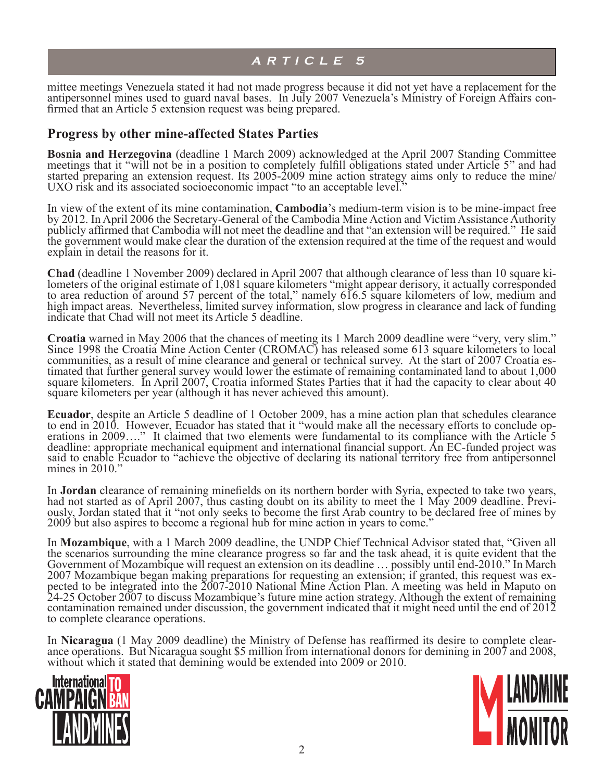mittee meetings Venezuela stated it had not made progress because it did not yet have a replacement for the antipersonnel mines used to guard naval bases. In July 2007 Venezuela's Ministry of Foreign Affairs con- firmed that an Article 5 extension request was being prepared.

#### **Progress by other mine-affected States Parties**

**Bosnia and Herzegovina** (deadline 1 March 2009) acknowledged at the April 2007 Standing Committee meetings that it "will not be in a position to completely fulfill obligations stated under Article 5" and had started preparing an extension request. Its 2005-2009 mine action strategy aims only to reduce the mine/ UXO risk and its associated socioeconomic impact "to an acceptable level."

In view of the extent of its mine contamination, **Cambodia**'s medium-term vision is to be mine-impact free by 2012. In April 2006 the Secretary-General of the Cambodia Mine Action and Victim Assistance Authority publicly affirmed that Cambodia will not meet the deadline and that "an extension will be required." He said the government would make clear the duration of the extension required at the time of the request and would explain in detail the reasons for it.

**Chad** (deadline 1 November 2009) declared in April 2007 that although clearance of less than 10 square ki- lometers of the original estimate of 1,081 square kilometers "might appear derisory, it actually corresponded to area reduction of around 57 percent of the total," namely 616.5 square kilometers of low, medium and high impact areas. Nevertheless, limited survey information, slow progress in clearance and lack of funding indicate that Chad will not meet its Article 5 deadline.

**Croatia** warned in May 2006 that the chances of meeting its 1 March 2009 deadline were "very, very slim." Since 1998 the Croatia Mine Action Center (CROMAC) has released some 613 square kilometers to local communities, as communities, as a result of mine clearance and general or technical survey. At the start of 2007 Croatia es- timated that further general survey would lower the estimate of remaining contaminated land to about 1,000 square kilometers. In April 2007, Croatia informed States Parties that it had the capacity to clear about 40 square kilometers per year (although it has never achieved this amount).

**Ecuador**, despite an Article 5 deadline of 1 October 2009, has a mine action plan that schedules clearance to end in 2010. However, Ecuador has stated that it "would make all the necessary efforts to conclude operations i deadline: appropriate mechanical equipment and international financial support. An EC-funded project was said to enable Ecuador to "achieve the objective of declaring its national territory free from antipersonnel mines in 2010."

In **Jordan** clearance of remaining minefields on its northern border with Syria, expected to take two years, had not started as of April 2007, thus casting doubt on its ability to meet the 1 May 2009 deadline. Previously, 2009 but also aspires to become a regional hub for mine action in years to come."

In **Mozambique**, with a 1 March 2009 deadline, the UNDP Chief Technical Advisor stated that, "Given all the scenarios surrounding the mine clearance progress so far and the task ahead, it is quite evident that the Government of Mozambique will request an extension on its deadline ... possibly until end-2010." In March 2007 Mozambique began making preparations for requesting an extension; if granted, this request was ex-2007 Mozambique began making preparations for requesting an extension; if granted, this request was ex- pected to be integrated into the 2007-2010 National Mine Action Plan. A meeting was held in Maputo on 24-25 October 2007 to discuss Mozambique's future mine action strategy. Although the extent of remaining contamination remained under discussion, the government indicated that it might need until the end of 2012 to complete clearance operations.

In **Nicaragua** (1 May 2009 deadline) the Ministry of Defense has reaffirmed its desire to complete clear- ance operations. But Nicaragua sought \$5 million from international donors for demining in 2007 and 2008, without which it stated that demining would be extended into 2009 or 2010.



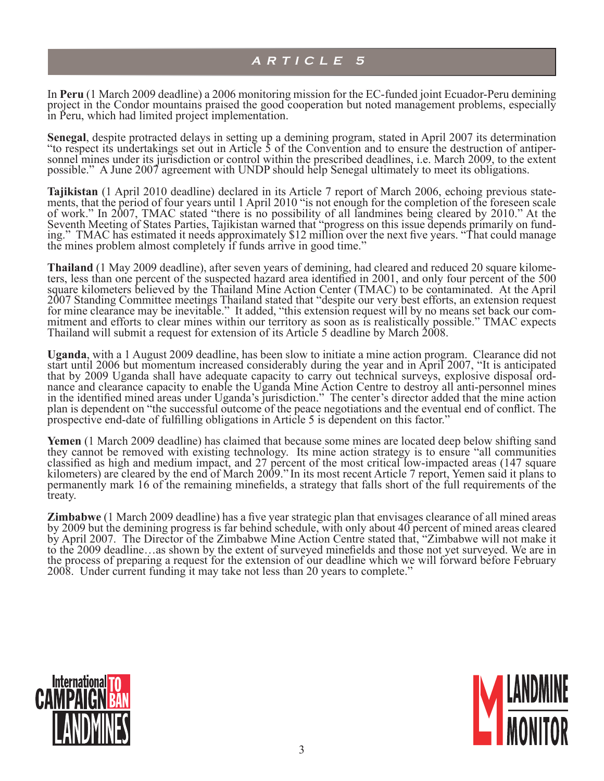In **Peru** (1 March 2009 deadline) a 2006 monitoring mission for the EC-funded joint Ecuador-Peru demining project in the Condor mountains praised the good cooperation but noted management problems, especially in Peru, which had limited project implementation.

**Senegal**, despite protracted delays in setting up a demining program, stated in April 2007 its determination "to respect its undertakings set out in Article 5 of the Convention and to ensure the destruction of antipersonn possible." A June 2007 agreement with UNDP should help Senegal ultimately to meet its obligations.

Tajikistan (1 April 2010 deadline) declared in its Article 7 report of March 2006, echoing previous statements, that the period of four years until 1 April 2010 "is not enough for the completion of the foreseen scale of work." In 2007, TMAC stated "there is no possibility of all landmines being cleared by 2010." At the Seventh Meeting of States Parties, Tajikistan warned that "progress on this issue depends primarily on fund-<br>ing." TMAC has estimated it needs approximately \$12 million over the next five years. "That could manage the mines problem almost completely if funds arrive in good time."

**Thailand** (1 May 2009 deadline), after seven years of demining, had cleared and reduced 20 square kilometers, less than one percent of the suspected hazard area identified in 2001, and only four percent of the 500 square kilometers believed by the Thailand Mine Action Center (TMAC) to be contaminated. At the April 2007 Standing Committee meetings Thailand stated that "despite our very best efforts, an extension request for mine clearance may be inevitable." It added, "this extension request will by no means set back our com- mitment and efforts to clear mines within our territory as soon as is realistically possible." TMAC expects Thailand will submit a request for extension of its Article 5 deadline by March 2008.

**Uganda**, with a 1 August 2009 deadline, has been slow to initiate a mine action program. Clearance did not start until 2006 but momentum increased considerably during the year and in April 2007, "It is anticipated that by 2009 Uganda shall have adequate capacity to carry out technical surveys, explosive disposal ord-<br>nance and clearance capacity to enable the Uganda Mine Action Centre to destroy all anti-personnel mines in the identified mined areas under Uganda's jurisdiction." The center's director added that the mine action plan is dependent on "the successful outcome of the peace negotiations and the eventual end of conflict. The prospective end-date of fulfilling obligations in Article 5 is dependent on this factor."

**Yemen** (1 March 2009 deadline) has claimed that because some mines are located deep below shifting sand they cannot be removed with existing technology. Its mine action strategy is to ensure "all communities classified as high and medium impact, and 27 percent of the most critical low-impacted areas (147 square kilometers) are cleared by the end of March 2009." In its most recent Article 7 report, Yemen said it plans to permanently mark 16 of the remaining minefields, a strategy that falls short of the full requirements of the treaty.

**Zimbabwe** (1 March 2009 deadline) has a five year strategic plan that envisages clearance of all mined areas by 2009 but the demining progress is far behind schedule, with only about 40 percent of mined areas cleared by April 2007. The Director of the Zimbabwe Mine Action Centre stated that, "Zimbabwe will not make it to the 2009 deadline…as shown by the extent of surveyed minefields and those not yet surveyed. We are in the process of preparing a request for the extension of our deadline which we will forward before February 2008. Under current funding it may take not less than 20 years to complete."



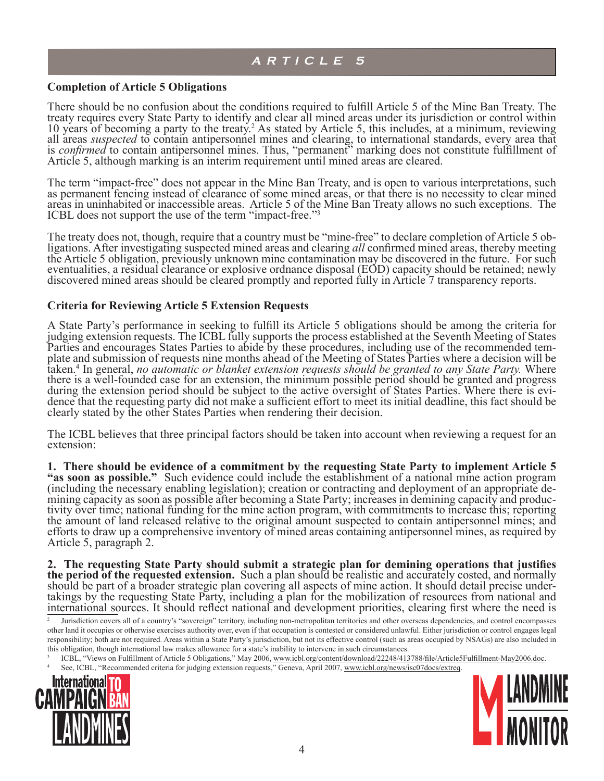#### **Completion of Article 5 Obligations**

There should be no confusion about the conditions required to fulfill Article 5 of the Mine Ban Treaty. The treaty requires every State Party to identify and clear all mined areas under its jurisdiction or control within 10 years of becoming a party to the treaty.<sup>2</sup> As stated by Article 5, this includes, at a minimum, reviewing all areas *suspected* to contain antipersonnel mines and clearing, to international standards, every area that is *confirmed* to contain antipersonnel mines. Thus, "permanent" marking does not constitute fulfillment of Article 5, although marking is an interim requirement until mined areas are cleared.

The term "impact-free" does not appear in the Mine Ban Treaty, and is open to various interpretations, such as permanent fencing instead of clearance of some mined areas, or that there is no necessity to clear mined areas in uninhabited or inaccessible areas. Article 5 of the Mine Ban Treaty allows no such exceptions. The ICBL does not support the use of the term "impact-free."

The treaty does not, though, require that a country must be "mine-free" to declare completion of Article 5 ob-<br>ligations. After investigating suspected mined areas and clearing *all* confirmed mined areas, thereby meeting<br> eventualities, a residual clearance or explosive ordnance disposal (EOD) capacity should be retained; newly discovered mined areas should be cleared promptly and reported fully in Article 7 transparency reports.

#### **Criteria for Reviewing Article 5 Extension Requests**

A State Party's performance in seeking to fulfill its Article 5 obligations should be among the criteria for judging extension requests. The ICBL fully supports the process established at the Seventh Meeting of States Parties and encourages States Parties to abide by these procedures, including use of the recommended tem- plate and submission of requests nine months ahead of the Meeting of States Parties where a decision will be taken.<sup>4</sup> In general, *no automatic or blanket extension requests should be granted to any State Party.* Where there is a well-founded case for an extension, the minimum possible period should be granted and progress during the extension period should be subject to the active oversight of States Parties. Where there is evidence that the requesting party did not make a sufficient effort to meet its initial deadline, this fact should be clearly stated by the other States Parties when rendering their decision.

The ICBL believes that three principal factors should be taken into account when reviewing a request for an extension:

**1. There should be evidence of a commitment by the requesting State Party to implement Article 5 "as soon as possible."** Such evidence could include the establishment of a national mine action program (including the necessary enabling legislation); creation or contracting and deployment of an appropriate de-<br>mining capacity as soon as possible after becoming a State Party; increases in demining capacity and produc-<br>tivi the amount of land released relative to the original amount suspected to contain antipersonnel mines; and efforts to draw up a comprehensive inventory of mined areas containing antipersonnel mines, as required by Article 5, paragraph 2.

**2. The requesting State Party should submit a strategic plan for demining operations that justifies**  should be part of a broader strategic plan covering all aspects of mine action. It should detail precise under-<br>takings by the requesting State Party, including a plan for the mobilization of resources from national and international sources. It should reflect national and development priorities, clearing first where the need is

ICBL, "Views on Fulfillment of Article 5 Obligations," May 2006, www.icbl.org/content/download/22248/413788/file/Article5Fulfillment-May2006.doc. See, ICBL, "Recommended criteria for judging extension requests," Geneva, April 2007, www.icbl.org/news/isc07docs/extreq.





Jurisdiction covers all of a country's "sovereign" territory, including non-metropolitan territories and other overseas dependencies, and control encompasses other land it occupies or otherwise exercises authority over, even if that occupation is contested or considered unlawful. Either jurisdiction or control engages legal responsibility; both are not required. Areas within a State Party's jurisdiction, but not its effective control (such as areas occupied by NSAGs) are also included in this obligation, though international law makes allowance for a state's inability to intervene in such circumstances.